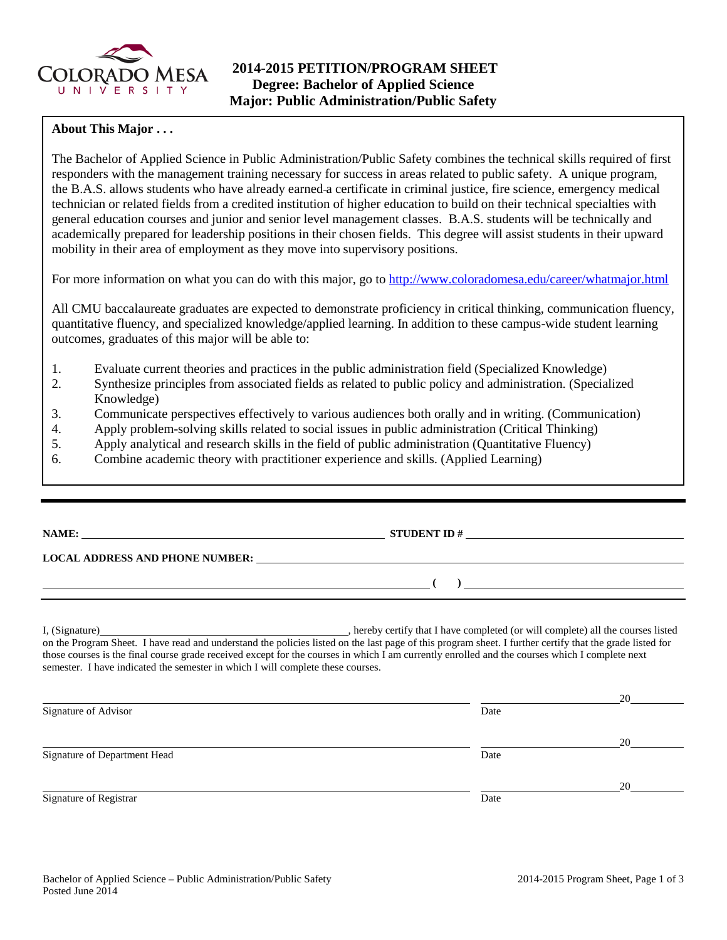

## **About This Major . . .**

The Bachelor of Applied Science in Public Administration/Public Safety combines the technical skills required of first responders with the management training necessary for success in areas related to public safety. A unique program, the B.A.S. allows students who have already earned a certificate in criminal justice, fire science, emergency medical technician or related fields from a credited institution of higher education to build on their technical specialties with general education courses and junior and senior level management classes. B.A.S. students will be technically and academically prepared for leadership positions in their chosen fields. This degree will assist students in their upward mobility in their area of employment as they move into supervisory positions.

For more information on what you can do with this major, go t[o http://www.coloradomesa.edu/career/whatmajor.html](http://www.coloradomesa.edu/career/whatmajor.html)

All CMU baccalaureate graduates are expected to demonstrate proficiency in critical thinking, communication fluency, quantitative fluency, and specialized knowledge/applied learning. In addition to these campus-wide student learning outcomes, graduates of this major will be able to:

- 1. Evaluate current theories and practices in the public administration field (Specialized Knowledge)
- 2. Synthesize principles from associated fields as related to public policy and administration. (Specialized Knowledge)
- 3. Communicate perspectives effectively to various audiences both orally and in writing. (Communication)
- 4. Apply problem-solving skills related to social issues in public administration (Critical Thinking)<br>5. Apply analytical and research skills in the field of public administration (Quantitative Fluency)
- 5. Apply analytical and research skills in the field of public administration (Quantitative Fluency)
- 6. Combine academic theory with practitioner experience and skills. (Applied Learning)

|                                                                                                                       | <b>LOCAL ADDRESS AND PHONE NUMBER:</b>                                                                                                                                                                                                                    |
|-----------------------------------------------------------------------------------------------------------------------|-----------------------------------------------------------------------------------------------------------------------------------------------------------------------------------------------------------------------------------------------------------|
| <u> 1999 - Johann Johann Stoff, deutscher Stoffen und der Stoffen und der Stoffen und der Stoffen und der Stoffen</u> | $\overline{a}$                                                                                                                                                                                                                                            |
|                                                                                                                       | I, (Signature) hereby certify that I have completed (or will complete) all the courses listed<br>on the Program Sheet. I have read and understand the policies listed on the last page of this program sheet. I further certify that the grade listed for |

those courses is the final course grade received except for the courses in which I am currently enrolled and the courses which I complete next semester. I have indicated the semester in which I will complete these courses.

|                              |      | 20 |
|------------------------------|------|----|
| Signature of Advisor         | Date |    |
|                              |      | 20 |
| Signature of Department Head | Date |    |
|                              |      | 20 |
| Signature of Registrar       | Date |    |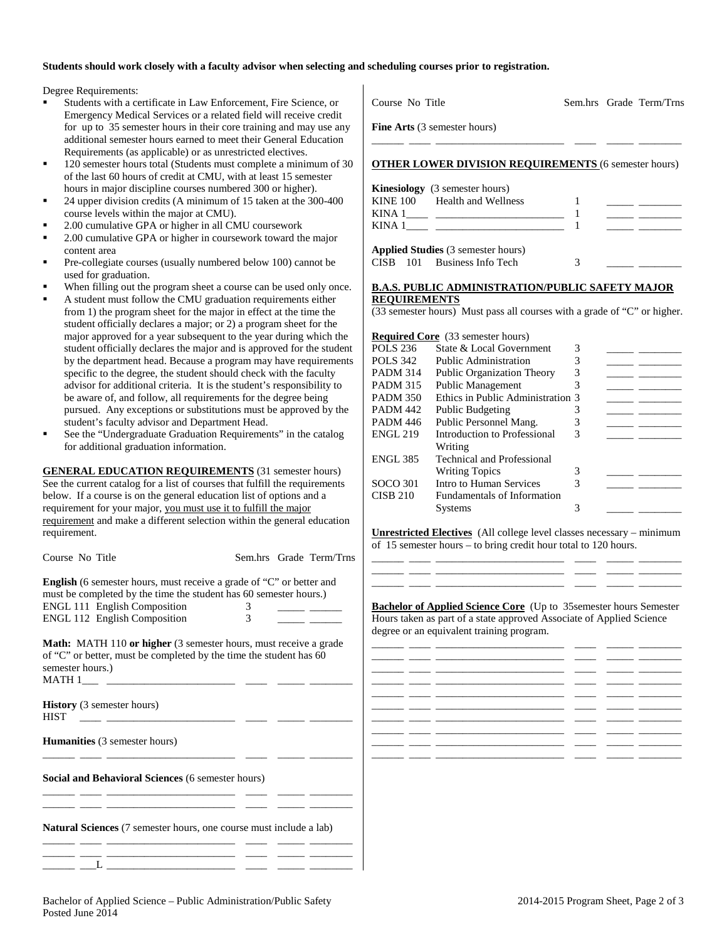## **Students should work closely with a faculty advisor when selecting and scheduling courses prior to registration.**

Degree Requirements:

- Students with a certificate in Law Enforcement, Fire Science, or Emergency Medical Services or a related field will receive credit for up to 35 semester hours in their core training and may use any additional semester hours earned to meet their General Education Requirements (as applicable) or as unrestricted electives.
- 120 semester hours total (Students must complete a minimum of 30 of the last 60 hours of credit at CMU, with at least 15 semester hours in major discipline courses numbered 300 or higher).
- 24 upper division credits (A minimum of 15 taken at the 300-400 course levels within the major at CMU).
- 2.00 cumulative GPA or higher in all CMU coursework
- 2.00 cumulative GPA or higher in coursework toward the major content area
- Pre-collegiate courses (usually numbered below 100) cannot be used for graduation.
- When filling out the program sheet a course can be used only once.
- A student must follow the CMU graduation requirements either from 1) the program sheet for the major in effect at the time the student officially declares a major; or 2) a program sheet for the major approved for a year subsequent to the year during which the student officially declares the major and is approved for the student by the department head. Because a program may have requirements specific to the degree, the student should check with the faculty advisor for additional criteria. It is the student's responsibility to be aware of, and follow, all requirements for the degree being pursued. Any exceptions or substitutions must be approved by the student's faculty advisor and Department Head.
- See the "Undergraduate Graduation Requirements" in the catalog for additional graduation information.

**GENERAL EDUCATION REQUIREMENTS** (31 semester hours) See the current catalog for a list of courses that fulfill the requirements below. If a course is on the general education list of options and a requirement for your major, you must use it to fulfill the major requirement and make a different selection within the general education requirement.

Course No Title Sem.hrs Grade Term/Trns

**English** (6 semester hours, must receive a grade of "C" or better and must be completed by the time the student has 60 semester hours.) ENGL 111 English Composition 3<br>ENGL 112 English Composition 3 ENGL 112 English Composition

**Math:** MATH 110 **or higher** (3 semester hours, must receive a grade of "C" or better, must be completed by the time the student has 60 semester hours.)  $MATH 1$ <sub>\_\_\_\_</sub> \_\_

|      | <b>History</b> (3 semester hours) |  |  |
|------|-----------------------------------|--|--|
| HIST |                                   |  |  |

**Humanities** (3 semester hours)

**Social and Behavioral Sciences** (6 semester hours)

**Natural Sciences** (7 semester hours, one course must include a lab)

\_\_\_\_\_\_ \_\_\_\_ \_\_\_\_\_\_\_\_\_\_\_\_\_\_\_\_\_\_\_\_\_\_\_\_ \_\_\_\_ \_\_\_\_\_ \_\_\_\_\_\_\_\_

\_\_\_\_\_\_ \_\_\_\_ \_\_\_\_\_\_\_\_\_\_\_\_\_\_\_\_\_\_\_\_\_\_\_\_ \_\_\_\_ \_\_\_\_\_ \_\_\_\_\_\_\_\_ \_\_\_\_\_\_ \_\_\_\_ \_\_\_\_\_\_\_\_\_\_\_\_\_\_\_\_\_\_\_\_\_\_\_\_ \_\_\_\_ \_\_\_\_\_ \_\_\_\_\_\_\_\_

\_\_\_\_\_\_ \_\_\_\_ \_\_\_\_\_\_\_\_\_\_\_\_\_\_\_\_\_\_\_\_\_\_\_\_ \_\_\_\_ \_\_\_\_\_ \_\_\_\_\_\_\_\_ \_\_\_\_\_\_ \_\_\_\_ \_\_\_\_\_\_\_\_\_\_\_\_\_\_\_\_\_\_\_\_\_\_\_\_ \_\_\_\_ \_\_\_\_\_ \_\_\_\_\_\_\_\_ \_\_\_\_\_\_ \_\_\_L \_\_\_\_\_\_\_\_\_\_\_\_\_\_\_\_\_\_\_\_\_\_\_\_ \_\_\_\_ \_\_\_\_\_ \_\_\_\_\_\_\_\_

| $\sim$ 0.000 $\sim$ 0.000 $\sim$ 0.000 $\sim$               |  | $O1000 - 10111$ |
|-------------------------------------------------------------|--|-----------------|
| <b>Fine Arts</b> (3 semester hours)                         |  |                 |
|                                                             |  |                 |
| <b>OTHER LOWER DIVISION REQUIREMENTS (6 semester hours)</b> |  |                 |
| <b>Kinesiology</b> (3 semester hours)                       |  |                 |
| KINE 100 Health and Wellness                                |  |                 |
|                                                             |  |                 |
| KINA $1$                                                    |  |                 |
| <b>Applied Studies</b> (3 semester hours)                   |  |                 |

Course No Title Sem.hrs Grade Term/Trns

## **B.A.S. PUBLIC ADMINISTRATION/PUBLIC SAFETY MAJOR REQUIREMENTS**

CISB 101 Business Info Tech 3

(33 semester hours) Must pass all courses with a grade of "C" or higher.

|                 | <b>Required Core</b> (33 semester hours) |   |  |
|-----------------|------------------------------------------|---|--|
| <b>POLS 236</b> | State & Local Government                 | 3 |  |
| <b>POLS</b> 342 | Public Administration                    | 3 |  |
| <b>PADM 314</b> | <b>Public Organization Theory</b>        | 3 |  |
| <b>PADM 315</b> | <b>Public Management</b>                 | 3 |  |
| <b>PADM 350</b> | Ethics in Public Administration 3        |   |  |
| <b>PADM 442</b> | <b>Public Budgeting</b>                  | 3 |  |
| <b>PADM 446</b> | Public Personnel Mang.                   | 3 |  |
| <b>ENGL 219</b> | Introduction to Professional             | 3 |  |
|                 | Writing                                  |   |  |
| <b>ENGL 385</b> | <b>Technical and Professional</b>        |   |  |
|                 | <b>Writing Topics</b>                    | 3 |  |
| SOCO 301        | Intro to Human Services                  | 3 |  |
| <b>CISB 210</b> | <b>Fundamentals of Information</b>       |   |  |
|                 | <b>Systems</b>                           | 3 |  |
|                 |                                          |   |  |

**Unrestricted Electives** (All college level classes necessary – minimum of 15 semester hours – to bring credit hour total to 120 hours. \_\_\_\_\_\_ \_\_\_\_ \_\_\_\_\_\_\_\_\_\_\_\_\_\_\_\_\_\_\_\_\_\_\_\_ \_\_\_\_ \_\_\_\_\_ \_\_\_\_\_\_\_\_

\_\_\_\_\_\_ \_\_\_\_ \_\_\_\_\_\_\_\_\_\_\_\_\_\_\_\_\_\_\_\_\_\_\_\_ \_\_\_\_ \_\_\_\_\_ \_\_\_\_\_\_\_\_ \_\_\_\_\_\_ \_\_\_\_ \_\_\_\_\_\_\_\_\_\_\_\_\_\_\_\_\_\_\_\_\_\_\_\_ \_\_\_\_ \_\_\_\_\_ \_\_\_\_\_\_\_\_

**Bachelor of Applied Science Core** (Up to 35 semester hours Semester Hours taken as part of a state approved Associate of Applied Science degree or an equivalent training program.